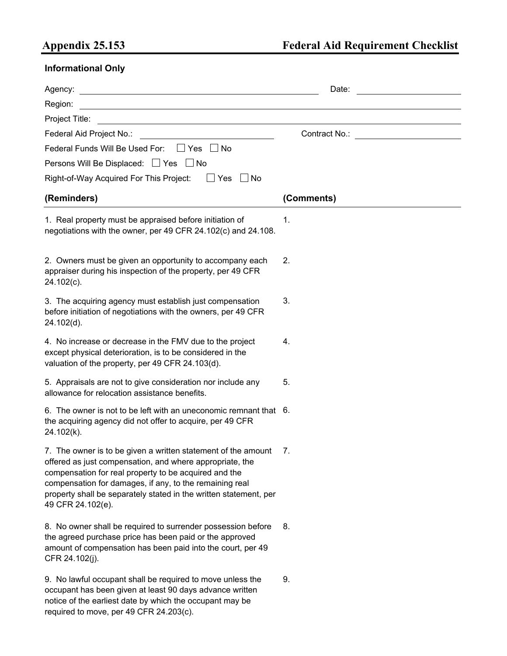## **Appendix 25.153 Federal Aid Requirement Checklist**

## **Informational Only**

|                                                                                                                                                                                                                                                                                                                                            | Date:                                    |
|--------------------------------------------------------------------------------------------------------------------------------------------------------------------------------------------------------------------------------------------------------------------------------------------------------------------------------------------|------------------------------------------|
| Region:<br><u> 1980 - Johann Barbara, martxa alemaniar argametra (h. 1980).</u>                                                                                                                                                                                                                                                            |                                          |
| Project Title:                                                                                                                                                                                                                                                                                                                             |                                          |
| Federal Aid Project No.:                                                                                                                                                                                                                                                                                                                   | Contract No.: __________________________ |
| Federal Funds Will Be Used For: ■ Yes ■ No                                                                                                                                                                                                                                                                                                 |                                          |
| Persons Will Be Displaced: □ Yes □ No                                                                                                                                                                                                                                                                                                      |                                          |
| $\Box$ Yes<br>Right-of-Way Acquired For This Project:<br>∣ ∣No                                                                                                                                                                                                                                                                             |                                          |
| (Reminders)                                                                                                                                                                                                                                                                                                                                | (Comments)                               |
| 1. Real property must be appraised before initiation of<br>negotiations with the owner, per 49 CFR 24.102(c) and 24.108.                                                                                                                                                                                                                   | 1.                                       |
| 2. Owners must be given an opportunity to accompany each<br>appraiser during his inspection of the property, per 49 CFR<br>24.102(c).                                                                                                                                                                                                      | 2.                                       |
| 3. The acquiring agency must establish just compensation<br>before initiation of negotiations with the owners, per 49 CFR<br>24.102(d).                                                                                                                                                                                                    | 3.                                       |
| 4. No increase or decrease in the FMV due to the project<br>except physical deterioration, is to be considered in the<br>valuation of the property, per 49 CFR 24.103(d).                                                                                                                                                                  | 4.                                       |
| 5. Appraisals are not to give consideration nor include any<br>allowance for relocation assistance benefits.                                                                                                                                                                                                                               | 5.                                       |
| 6. The owner is not to be left with an uneconomic remnant that 6.<br>the acquiring agency did not offer to acquire, per 49 CFR<br>24.102(k).                                                                                                                                                                                               |                                          |
| 7. The owner is to be given a written statement of the amount 7.<br>offered as just compensation, and where appropriate, the<br>compensation for real property to be acquired and the<br>compensation for damages, if any, to the remaining real<br>property shall be separately stated in the written statement, per<br>49 CFR 24.102(e). |                                          |
| 8. No owner shall be required to surrender possession before<br>the agreed purchase price has been paid or the approved<br>amount of compensation has been paid into the court, per 49<br>CFR 24.102(j).                                                                                                                                   | 8.                                       |
| 9. No lawful occupant shall be required to move unless the<br>occupant has been given at least 90 days advance written<br>notice of the earliest date by which the occupant may be<br>required to move, per 49 CFR 24.203(c).                                                                                                              | 9.                                       |